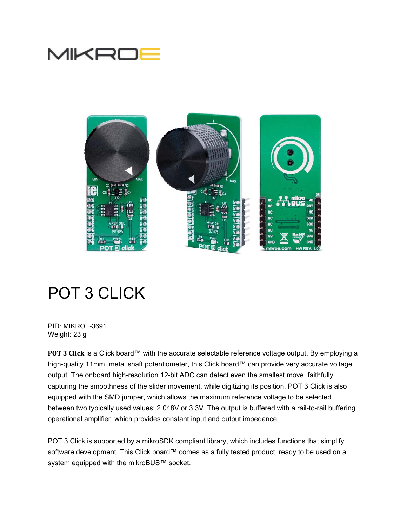



# POT 3 CLICK

PID: MIKROE-3691 Weight: 23 g

**POT 3 Click** is a Click board™ with the accurate selectable reference voltage output. By employing a high-quality 11mm, metal shaft potentiometer, this Click board™ can provide very accurate voltage output. The onboard high-resolution 12-bit ADC can detect even the smallest move, faithfully capturing the smoothness of the slider movement, while digitizing its position. POT 3 Click is also equipped with the SMD jumper, which allows the maximum reference voltage to be selected between two typically used values: 2.048V or 3.3V. The output is buffered with a rail-to-rail buffering operational amplifier, which provides constant input and output impedance.

POT 3 Click is supported by a mikroSDK compliant library, which includes functions that simplify software development. This Click board™ comes as a fully tested product, ready to be used on a system equipped with the mikroBUS™ socket.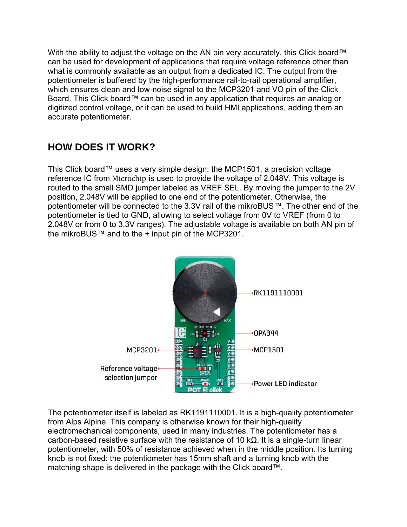With the ability to adjust the voltage on the AN pin very accurately, this Click board™ can be used for development of applications that require voltage reference other than what is commonly available as an output from a dedicated IC. The output from the potentiometer is buffered by the high-performance rail-to-rail operational amplifier, which ensures clean and low-noise signal to the MCP3201 and VO pin of the Click Board. This Click board™ can be used in any application that requires an analog or digitized control voltage, or it can be used to build HMI applications, adding them an accurate potentiometer.

## **HOW DOES IT WORK?**

This Click board™ uses a very simple design: the MCP1501, a precision voltage reference IC from Microchip is used to provide the voltage of 2.048V. This voltage is routed to the small SMD jumper labeled as VREF SEL. By moving the jumper to the 2V position, 2.048V will be applied to one end of the potentiometer. Otherwise, the potentiometer will be connected to the 3.3V rail of the mikroBUS™. The other end of the potentiometer is tied to GND, allowing to select voltage from 0V to VREF (from 0 to 2.048V or from 0 to 3.3V ranges). The adjustable voltage is available on both AN pin of the mikroBUS™ and to the + input pin of the MCP3201.



The potentiometer itself is labeled as RK1191110001. It is a high-quality potentiometer from Alps Alpine. This company is otherwise known for their high-quality electromechanical components, used in many industries. The potentiometer has a carbon-based resistive surface with the resistance of 10 kΩ. It is a single-turn linear potentiometer, with 50% of resistance achieved when in the middle position. Its turning knob is not fixed: the potentiometer has 15mm shaft and a turning knob with the matching shape is delivered in the package with the Click board™.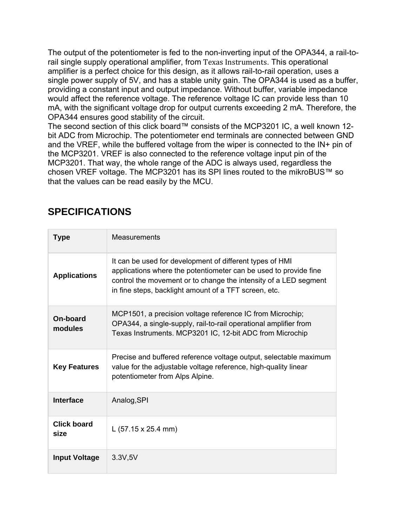The output of the potentiometer is fed to the non-inverting input of the OPA344, a rail-torail single supply operational amplifier, from Texas Instruments. This operational amplifier is a perfect choice for this design, as it allows rail-to-rail operation, uses a single power supply of 5V, and has a stable unity gain. The OPA344 is used as a buffer, providing a constant input and output impedance. Without buffer, variable impedance would affect the reference voltage. The reference voltage IC can provide less than 10 mA, with the significant voltage drop for output currents exceeding 2 mA. Therefore, the OPA344 ensures good stability of the circuit.

The second section of this click board™ consists of the MCP3201 IC, a well known 12 bit ADC from Microchip. The potentiometer end terminals are connected between GND and the VREF, while the buffered voltage from the wiper is connected to the IN+ pin of the MCP3201. VREF is also connected to the reference voltage input pin of the MCP3201. That way, the whole range of the ADC is always used, regardless the chosen VREF voltage. The MCP3201 has its SPI lines routed to the mikroBUS™ so that the values can be read easily by the MCU.

# **Type** Measurements **Applications**  It can be used for development of different types of HMI applications where the potentiometer can be used to provide fine control the movement or to change the intensity of a LED segment in fine steps, backlight amount of a TFT screen, etc. **On-board modules**  MCP1501, a precision voltage reference IC from Microchip; OPA344, a single-supply, rail-to-rail operational amplifier from Texas Instruments. MCP3201 IC, 12-bit ADC from Microchip **Key Features**  Precise and buffered reference voltage output, selectable maximum value for the adjustable voltage reference, high-quality linear potentiometer from Alps Alpine. **Interface Analog,SPI Click board size** L (57.15 x 25.4 mm) **Input Voltage** | 3.3V,5V

# **SPECIFICATIONS**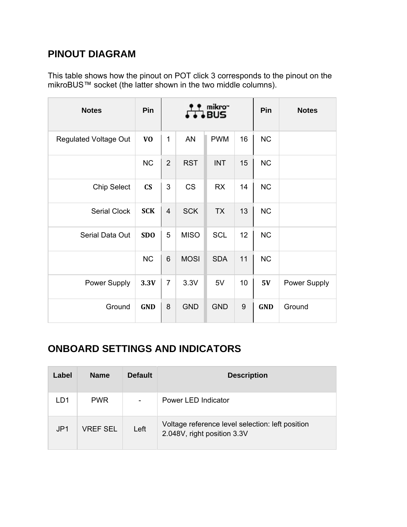## **PINOUT DIAGRAM**

This table shows how the pinout on POT click 3 corresponds to the pinout on the mikroBUS™ socket (the latter shown in the two middle columns).

| <b>Notes</b>                 | Pin                    |                |             | mikro"<br>BUS |    | Pin        | <b>Notes</b> |
|------------------------------|------------------------|----------------|-------------|---------------|----|------------|--------------|
| <b>Regulated Voltage Out</b> | V <sub>O</sub>         | 1              | <b>AN</b>   | <b>PWM</b>    | 16 | <b>NC</b>  |              |
|                              | <b>NC</b>              | $\overline{2}$ | <b>RST</b>  | <b>INT</b>    | 15 | <b>NC</b>  |              |
| <b>Chip Select</b>           | $\mathbf{C}\mathbf{S}$ | 3              | <b>CS</b>   | <b>RX</b>     | 14 | <b>NC</b>  |              |
| <b>Serial Clock</b>          | <b>SCK</b>             | $\overline{4}$ | <b>SCK</b>  | <b>TX</b>     | 13 | <b>NC</b>  |              |
| Serial Data Out              | <b>SDO</b>             | 5              | <b>MISO</b> | <b>SCL</b>    | 12 | <b>NC</b>  |              |
|                              | <b>NC</b>              | 6              | <b>MOSI</b> | <b>SDA</b>    | 11 | <b>NC</b>  |              |
| Power Supply                 | 3.3V                   | $\overline{7}$ | 3.3V        | 5V            | 10 | 5V         | Power Supply |
| Ground                       | <b>GND</b>             | 8              | <b>GND</b>  | <b>GND</b>    | 9  | <b>GND</b> | Ground       |

# **ONBOARD SETTINGS AND INDICATORS**

| Label | <b>Name</b>     | <b>Default</b>           | <b>Description</b>                                                              |
|-------|-----------------|--------------------------|---------------------------------------------------------------------------------|
| LD1   | <b>PWR</b>      | $\overline{\phantom{a}}$ | Power LED Indicator                                                             |
| JPI   | <b>VREF SEL</b> | Left                     | Voltage reference level selection: left position<br>2.048V, right position 3.3V |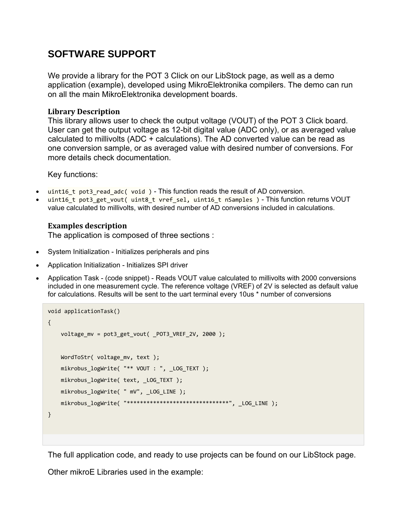### **SOFTWARE SUPPORT**

We provide a library for the POT 3 Click on our LibStock page, as well as a demo application (example), developed using MikroElektronika compilers. The demo can run on all the main MikroElektronika development boards.

#### **Library Description**

This library allows user to check the output voltage (VOUT) of the POT 3 Click board. User can get the output voltage as 12-bit digital value (ADC only), or as averaged value calculated to millivolts (ADC + calculations). The AD converted value can be read as one conversion sample, or as averaged value with desired number of conversions. For more details check documentation.

Key functions:

- uint16\_t pot3\_read\_adc( void ) This function reads the result of AD conversion.
- uint16 t pot3 get vout( uint8 t vref sel, uint16 t nSamples ) This function returns VOUT value calculated to millivolts, with desired number of AD conversions included in calculations.

#### **Examples description**

The application is composed of three sections :

- System Initialization Initializes peripherals and pins
- Application Initialization Initializes SPI driver
- Application Task (code snippet) Reads VOUT value calculated to millivolts with 2000 conversions included in one measurement cycle. The reference voltage (VREF) of 2V is selected as default value for calculations. Results will be sent to the uart terminal every 10us \* number of conversions

```
void applicationTask()
{
    voltage mv = pot3 get vout( POT3 VREF 2V, 2000 );
        WordToStr( voltage_mv, text );
        mikrobus_logWrite( "** VOUT : ", _LOG_TEXT );
        mikrobus_logWrite( text, _LOG_TEXT );
        mikrobus_logWrite( " mV", _LOG_LINE );
        mikrobus_logWrite( "*******************************", _LOG_LINE );
}
```
The full application code, and ready to use projects can be found on our LibStock page.

Other mikroE Libraries used in the example: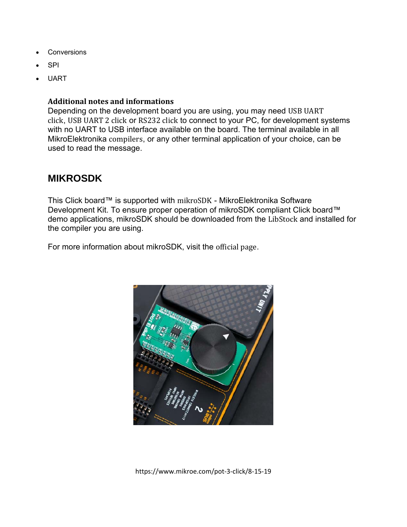- Conversions
- SPI
- UART

#### **Additional notes and informations**

Depending on the development board you are using, you may need USB UART click, USB UART 2 click or RS232 click to connect to your PC, for development systems with no UART to USB interface available on the board. The terminal available in all MikroElektronika compilers, or any other terminal application of your choice, can be used to read the message.

### **MIKROSDK**

This Click board™ is supported with mikroSDK - MikroElektronika Software Development Kit. To ensure proper operation of mikroSDK compliant Click board™ demo applications, mikroSDK should be downloaded from the LibStock and installed for the compiler you are using.

For more information about mikroSDK, visit the official page.



https://www.mikroe.com/pot‐3‐click/8‐15‐19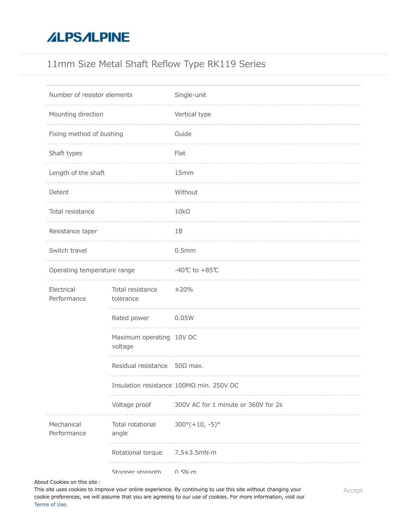# **ALPSALPINE**

## 11mm Size Metal Shaft Reflow Type RK119 Series

| Number of resistor elements |                                     | Single-unit                              |
|-----------------------------|-------------------------------------|------------------------------------------|
| Mounting direction          |                                     | Vertical type                            |
| Fixing method of bushing    |                                     | Guide                                    |
| Shaft types                 |                                     | Flat                                     |
| Length of the shaft         |                                     | 15mm                                     |
| Detent                      |                                     | Without                                  |
| Total resistance            |                                     | $10k\Omega$                              |
| Resistance taper            |                                     | 1B                                       |
| Switch travel               |                                     | 0.5mm                                    |
| Operating temperature range |                                     | -40℃ to +85℃                             |
| Electrical<br>Performance   | Total resistance<br>tolerance       | ±20%                                     |
|                             | Rated power                         | 0.05W                                    |
|                             | Maximum operating 10V DC<br>voltage |                                          |
|                             | Residual resistance 50Ω max.        |                                          |
|                             |                                     | Insulation resistance 100MΩ min. 250V DC |
|                             | Voltage proof                       | 300V AC for 1 minute or 360V for 2s      |
| Mechanical<br>Performance   | Total rotational<br>angle           | $300^{\circ} (+10, -5)^{\circ}$          |
|                             | Rotational torque                   | $7.5 \pm 3.5$ mN $\cdot$ m               |
|                             | Stonner strenath                    | $0.5N \cdot m$                           |

About Cookies on this site:

Push-pull strength 100N max. This site uses cookies to improve your online experience. By continuing to use this site without changing your cookie preferences, we will assume that you are agreeing to our use of cookies. For more information, visit our [Terms of Use.](https://www.alps.com/e/common/terms.html)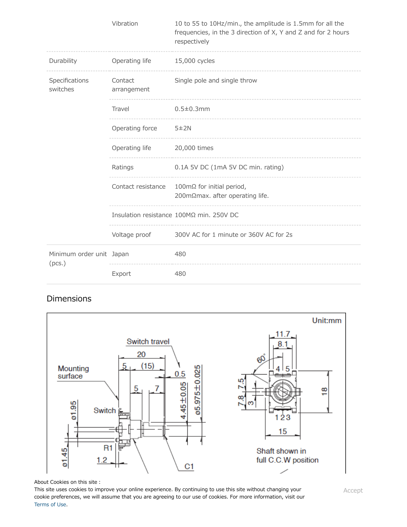|                                    | Vibration              | 10 to 55 to 10Hz/min., the amplitude is 1.5mm for all the<br>frequencies, in the 3 direction of X, Y and Z and for 2 hours<br>respectively |
|------------------------------------|------------------------|--------------------------------------------------------------------------------------------------------------------------------------------|
| Durability                         | Operating life         | 15,000 cycles                                                                                                                              |
| Specifications<br>switches         | Contact<br>arrangement | Single pole and single throw                                                                                                               |
|                                    | Travel                 | $0.5 \pm 0.3$ mm                                                                                                                           |
|                                    | Operating force        | 5±2N                                                                                                                                       |
|                                    | Operating life         | 20,000 times                                                                                                                               |
|                                    | Ratings                | 0.1A 5V DC (1mA 5V DC min. rating)                                                                                                         |
|                                    | Contact resistance     | 100mΩ for initial period,<br>200mΩmax. after operating life.                                                                               |
|                                    |                        | Insulation resistance 100MΩ min. 250V DC                                                                                                   |
|                                    | Voltage proof          | 300V AC for 1 minute or 360V AC for 2s                                                                                                     |
| Minimum order unit Japan<br>(pcs.) |                        | 480                                                                                                                                        |
|                                    | Export                 | 480                                                                                                                                        |

### Dimensions



#### About Cookies on this site:

This site uses cookies to improve your online experience. By continuing to use this site without changing your cookie preferences, we will assume that you are agreeing to our use of cookies. For more information, visit our [Terms of Use.](https://www.alps.com/e/common/terms.html)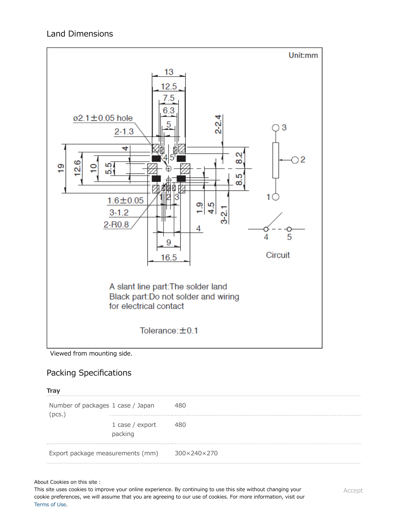

Viewed from mounting side.

### Packing Specifications

#### **Tray**

| Number of packages 1 case / Japan<br>(pcs.) |                            | 480         |
|---------------------------------------------|----------------------------|-------------|
|                                             | 1 case / export<br>packing | 480         |
| Export package measurements (mm)            |                            | 300×240×270 |

About Cookies on this site :

**Example of Reflow Soldering Condition** cookie preferences, we will assume that you are agreeing to our use of cookies. For more information, visit our This site uses cookies to improve your online experience. By continuing to use this site without changing your [Terms of Use.](https://www.alps.com/e/common/terms.html)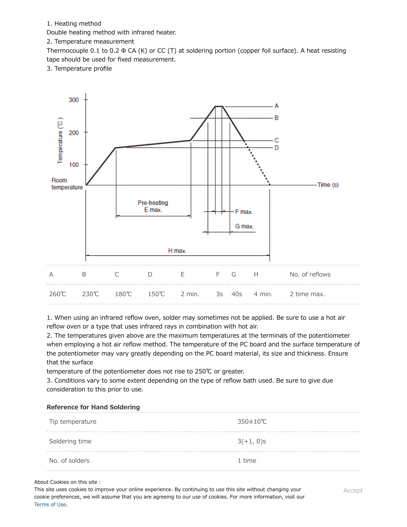1. Heating method

Double heating method with infrared heater.

2. Temperature measurement

Thermocouple 0.1 to 0.2  $\Phi$  CA (K) or CC (T) at soldering portion (copper foil surface). A heat resisting tape should be used for fixed measurement.

3. Temperature profile



1. When using an infrared reflow oven, solder may sometimes not be applied. Be sure to use a hot air reflow oven or a type that uses infrared rays in combination with hot air.

2. The temperatures given above are the maximum temperatures at the terminals of the potentiometer when employing a hot air reflow method. The temperature of the PC board and the surface temperature of the potentiometer may vary greatly depending on the PC board material, its size and thickness. Ensure that the surface

temperature of the potentiometer does not rise to 250℃ or greater.

3. Conditions vary to some extent depending on the type of reflow bath used. Be sure to give due consideration to this prior to use.

#### **Reference for Hand Soldering**

| Tip temperature | 350±10℃      |
|-----------------|--------------|
| Soldering time  | $3(+1, 0)$ s |
| No. of solders  | 1 time       |

#### About Cookies on this site:

This site uses cookies to improve your online experience. By continuing to use this site without changing your<br>cookie preferences, we will assume that you are agreeing to our use of cookies. For more information, visit our This site uses cookies to improve your online experience. By continuing to use this site without changing your [Terms of Use.](https://www.alps.com/e/common/terms.html)